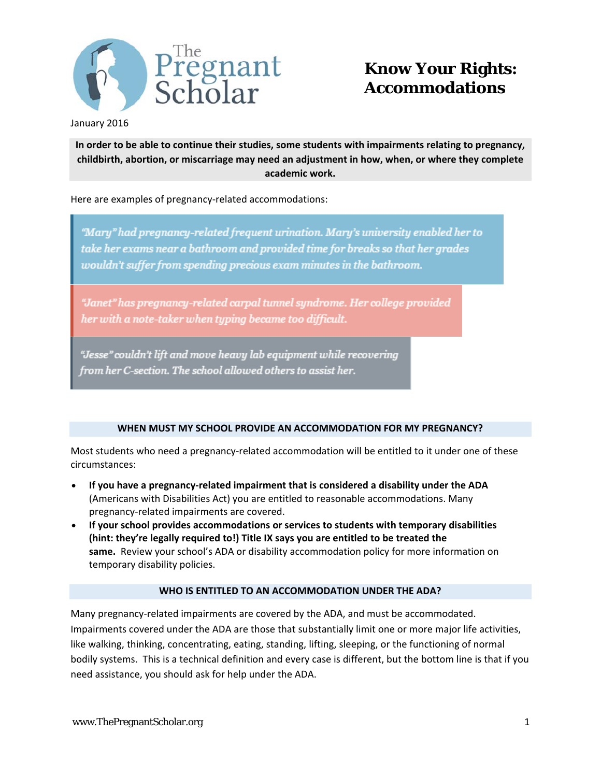

January 2016

**In order to be able to continue their studies, some students with impairments relating to pregnancy, childbirth, abortion, or miscarriage may need an adjustment in how, when, or where they complete academic work.** 

Here are examples of pregnancy-related accommodations:

"Mary" had pregnancy-related frequent urination. Mary's university enabled her to take her exams near a bathroom and provided time for breaks so that her grades wouldn't suffer from spending precious exam minutes in the bathroom.

"Janet" has pregnancy-related carpal tunnel syndrome. Her college provided her with a note-taker when typing became too difficult.

"Jesse" couldn't lift and move heavy lab equipment while recovering from her C-section. The school allowed others to assist her.

## **WHEN MUST MY SCHOOL PROVIDE AN ACCOMMODATION FOR MY PREGNANCY?**

Most students who need a pregnancy-related accommodation will be entitled to it under one of these circumstances:

- **If you have a pregnancy‐related impairment that is considered a disability under the ADA** (Americans with Disabilities Act) you are entitled to reasonable accommodations. Many pregnancy‐related impairments are covered.
- **If your school provides accommodations or services to students with temporary disabilities (hint: they're legally required to!) Title IX says you are entitled to be treated the same.** Review your school's ADA or disability accommodation policy for more information on temporary disability policies.

## **WHO IS ENTITLED TO AN ACCOMMODATION UNDER THE ADA?**

Many pregnancy‐related impairments are covered by the ADA, and must be accommodated. Impairments covered under the ADA are those that substantially limit one or more major life activities, like walking, thinking, concentrating, eating, standing, lifting, sleeping, or the functioning of normal bodily systems. This is a technical definition and every case is different, but the bottom line is that if you need assistance, you should ask for help under the ADA.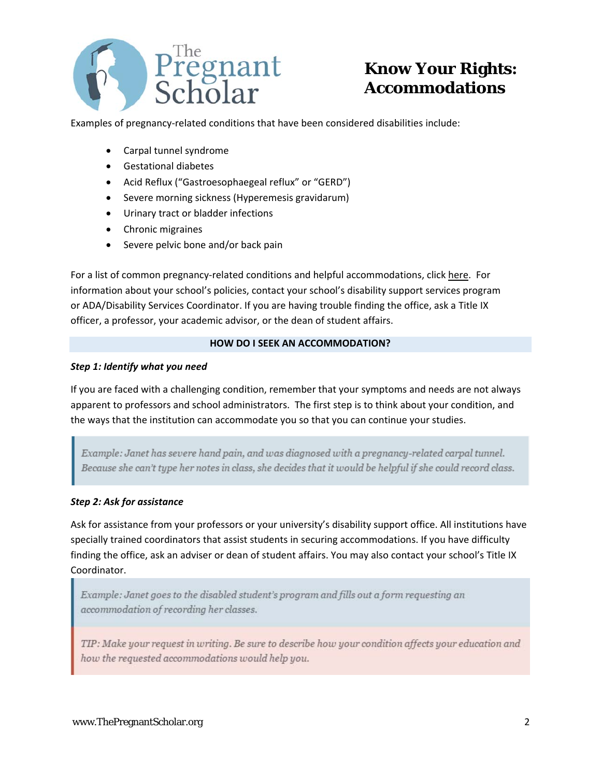

Examples of pregnancy-related conditions that have been considered disabilities include:

- Carpal tunnel syndrome
- Gestational diabetes
- Acid Reflux ("Gastroesophaegeal reflux" or "GERD")
- Severe morning sickness (Hyperemesis gravidarum)
- Urinary tract or bladder infections
- Chronic migraines
- Severe pelvic bone and/or back pain

For a list of common pregnancy-related conditions and helpful accommodations, click here. For information about your school's policies, contact your school's disability support services program or ADA/Disability Services Coordinator. If you are having trouble finding the office, ask a Title IX officer, a professor, your academic advisor, or the dean of student affairs.

### **HOW DO I SEEK AN ACCOMMODATION?**

#### *Step 1: Identify what you need*

If you are faced with a challenging condition, remember that your symptoms and needs are not always apparent to professors and school administrators. The first step is to think about your condition, and the ways that the institution can accommodate you so that you can continue your studies.

Example: Janet has severe hand pain, and was diagnosed with a pregnancy-related carpal tunnel. Because she can't type her notes in class, she decides that it would be helpful if she could record class.

### *Step 2: Ask for assistance*

Ask for assistance from your professors or your university's disability support office. All institutions have specially trained coordinators that assist students in securing accommodations. If you have difficulty finding the office, ask an adviser or dean of student affairs. You may also contact your school's Title IX Coordinator.

Example: Janet goes to the disabled student's program and fills out a form requesting an accommodation of recording her classes.

TIP: Make your request in writing. Be sure to describe how your condition affects your education and how the requested accommodations would help you.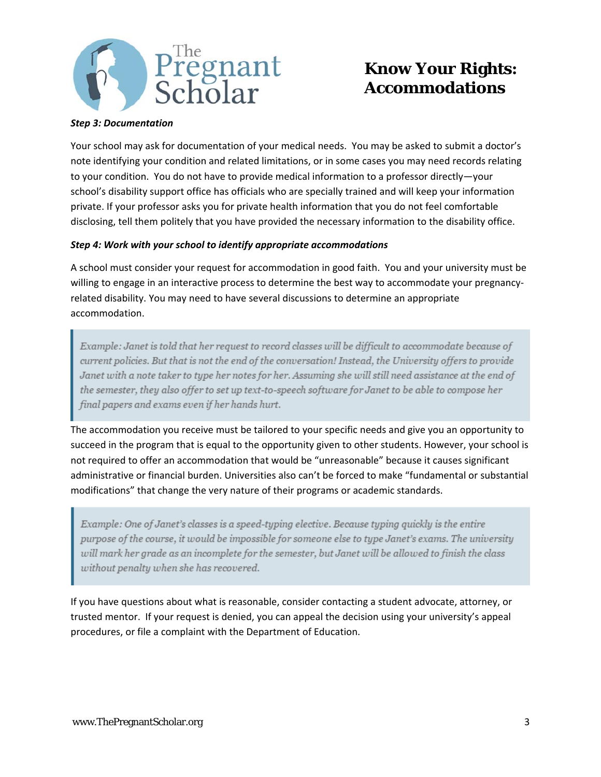

#### *Step 3: Documentation*

Your school may ask for documentation of your medical needs. You may be asked to submit a doctor's note identifying your condition and related limitations, or in some cases you may need records relating to your condition. You do not have to provide medical information to a professor directly—your school's disability support office has officials who are specially trained and will keep your information private. If your professor asks you for private health information that you do not feel comfortable disclosing, tell them politely that you have provided the necessary information to the disability office.

#### *Step 4: Work with your school to identify appropriate accommodations*

A school must consider your request for accommodation in good faith. You and your university must be willing to engage in an interactive process to determine the best way to accommodate your pregnancyrelated disability. You may need to have several discussions to determine an appropriate accommodation.

Example: Janet is told that her request to record classes will be difficult to accommodate because of current policies. But that is not the end of the conversation! Instead, the University offers to provide Janet with a note taker to type her notes for her. Assuming she will still need assistance at the end of the semester, they also offer to set up text-to-speech software for Janet to be able to compose her final papers and exams even if her hands hurt.

The accommodation you receive must be tailored to your specific needs and give you an opportunity to succeed in the program that is equal to the opportunity given to other students. However, your school is not required to offer an accommodation that would be "unreasonable" because it causes significant administrative or financial burden. Universities also can't be forced to make "fundamental or substantial modifications" that change the very nature of their programs or academic standards.

Example: One of Janet's classes is a speed-typing elective. Because typing quickly is the entire purpose of the course, it would be impossible for someone else to type Janet's exams. The university will mark her grade as an incomplete for the semester, but Janet will be allowed to finish the class without penalty when she has recovered.

If you have questions about what is reasonable, consider contacting a student advocate, attorney, or trusted mentor. If your request is denied, you can appeal the decision using your university's appeal procedures, or file a complaint with the Department of Education.